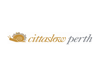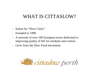## WHAT IS CITTASLOW?

- -Italian for "Slow Cities".
- -Founded in 1999.
- - A network of over 100 European towns dedicated to improving quality of life for residents and visitors.
- $\blacksquare$ Grew from the Slow Food movement.

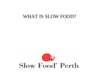#### WHAT IS SLOW FOOD?

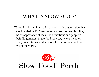### WHAT IS SLOW FOOD?

"Slow Food is an international non-profit organisation that was founded in 1989 to counteract fast food and fast life, the disappearance of local food traditions and people's dwindling interest in the food they eat, where it comes from, how it tastes, and how our food choices affect the rest of the world."

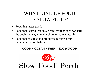# WHAT KIND OF FOOD IS SLOW FOOD?

- $\bullet$ Food that tastes good.
- $\bullet$  Food that is produced in a clean way that does not harm the environment, animal welfare or human health.
- Food that ensures food producers receive a fair remuneration for their work.

#### **GOOD + CLEAN + FAIR = SLOW FOOD**

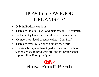# HOW IS SLOW FOOD ORGANISED?

- •Only individuals can join.
- $\bullet$ There are 90,000 Slow Food members in 107 countries.
- •Each country has a national Slow Food association.
- $\bullet$ Members join local chapters called "Convivia".
- $\bullet$ There are over 850 Convivia across the world.
- Convivia bring members together for events such as tastings, visits to producers etc. and for projects that support Slow Food principles.

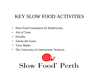## KEY SLOW FOOD ACTIVITIES

- Slow Food Foundation for Biodiversity.
- $\bullet$ Ark of Taste.
- $\bullet$ Presidia.
- Salone del Gusto.
- $\bullet$ Terra Madre.
- The University of Gastronomic Sciences.

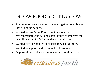# SLOW FOOD to CITTASLOW

- A number of towns wanted to work together to embrace Slow Food principles.
- Wanted to link Slow Food principles to wider environmental, cultural and social issues to improve the overall quality of life for residents and visitors.
- Wanted clear principles or criteria they could follow.
- Wanted to support and promote local producers.
- •Opportunities to share experiences and good practice.

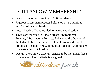## CITTASLOW MEMBERSHIP

- Open to towns with less than 50,000 residents.
- $\bullet$  Rigorous assessment process before towns are admitted into Cittaslow membership.
- Local Steering Group needed to manage application.
- Towns are assessed in 6 main areas: Environmental Policies; Infrastructure Policies; Enhancing the Quality of the Urban Fabric; Promotion of Local Produce & Local Products; Hospitality & Community; Raising Awareness & Understanding of Cittaslow.
- Overall, there are 60 different criteria to be met under these 6 main areas. Each criteria is weighted.

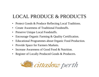# LOCAL PRODUCE & PRODUCTS

- $\bullet$ Protect Goods & Produce Reflecting Local Traditions.
- $\bullet$ Create Awareness of Traditional Foodstuffs.
- •Preserve Unique Local Foodstuffs.
- $\bullet$ Encourage Organic Farming & Quality Certification.
- $\bullet$ Educational Programmes about Organic Food Production.
- $\bullet$ Provide Space for Farmers Markets.
- $\bullet$ Increase Awareness of Good Food & Nutrition.
- •Register of Locally Produced Goods & Producers.

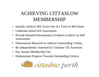# ACHIEVING CITTASLOW MEMBERSHIP

- •Initially Achieve 50% Score Out of a Total of 400 Points.
- $\bullet$ Undertake Initial Self Assessment.
- $\bullet$  Provide Detailed Documentary Evidence to Back Up Self Assessment.
- Demonstrate Measures to Address Outstanding Criteria.
- $\bullet$ Be Independently Assessed by Cittaslow UK Assessors.
- •Pay Annual Membership Fee.
- $\bullet$ Demonstrate Progress Towards Outstanding Criteria.

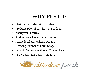# WHY PERTH?

- $\bullet$ First Farmers Market in Scotland.
- $\bullet$ Produces 90% of soft fruit in Scotland.
- •"Berryfest" Festival.
- •Agriculture a key economic sector.
- •Active local Agricultural Forum.
- •Growing number of Farm Shops.
- •Organic Network with over 70 members.
- •"Buy Local, Eat Local" Initiative"

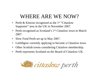# WHERE ARE WE NOW?

- Perth & Kinross recognised as the 1<sup>st</sup> "Cittaslow" Supporter" area in the UK in November 2007.
- $\bullet$ Perth recognised as Scotland's 1<sup>st</sup> Cittaslow town in March 2007.
- $\bullet$ Slow Food Perth set up in May 2007.
- •Linlithgow currently applying to become a Cittaslow town.
- •Other Scottish towns considering Cittaslow membership.
- •Perth represents Scotland on the Board of Cittaslow UK.

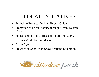# LOCAL INITIATIVES

- $\bullet$ Perthshire Produce Guide & Buyers Guide.
- $\bullet$  Promotion of Local Produce through Green Tourism Network.
- $\bullet$ Sponsorship of Local Heats of FutureChef 2008.
- •Greener Workplace Workshops.
- •Green Gyms.
- $\bullet$ Presence at Good Food Show Scotland Exhibition.

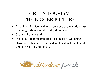# GREEN TOURISM THE BIGGER PICTURE

- Ambition for Scotland to become one of the world's first emerging carbon neutral holiday destinations
- Green is the new gold
- •Quality of life more important than material wellbeing
- $\bullet$  Strive for authenticity – defined as ethical, natural, honest, simple, beautiful and rooted.

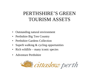# PERTHSHIRE'S GREEN TOURISM ASSETS

- $\bullet$ Outstanding natural environment
- •Perthshire Big Tree Country
- $\bullet$ Perthshire Gardens Collection
- $\bullet$ Superb walking & cycling opportunities
- •Rich wildlife – many iconic species
- $\bullet$ Adventure Perthshire

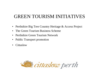## GREEN TOURISM INITIATIVES

- •Perthshire Big Tree Country Heritage & Access Project
- $\bullet$ The Green Tourism Business Scheme
- $\bullet$ Perthshire Green Tourism Network
- $\bullet$ Public Transport promotion
- •**Cittaslow**

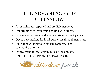# THE ADVANTAGES OF **CITTASLOW**

- An established, respected and credible network.
- $\bullet$ Opportunities to learn from and link with others.
- •Independent external endorsement giving a quality mark.
- $\bullet$ Opens new markets for local businesses through networks.
- $\bullet$  Links food & drink to wider environmental and community priorities.
- Involvement of local communities & businesses.
- •AN EFFECTIVE PROMOTIONAL TOOL

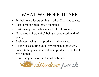# WHAT WE HOPE TO SEE

- Perthshire producers selling in other Cittaslow towns.
- •Local produce highlighted on menus.
- •Customers proactively asking for local produce.
- "Produced in Perthshire" being a recognised mark of quality.
- Businesses using local products and services.
- Businesses adopting good environmental practices.
- $\bullet$  Locals telling visitors about local produce & the local environment.
- •Good recognition of the Cittaslow brand.

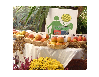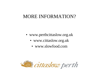### MORE INFORMATION?

- www.perthcittaslow.org.uk
	- www.cittaslow.org.uk
		- www.slowfood.com

![](_page_20_Picture_4.jpeg)